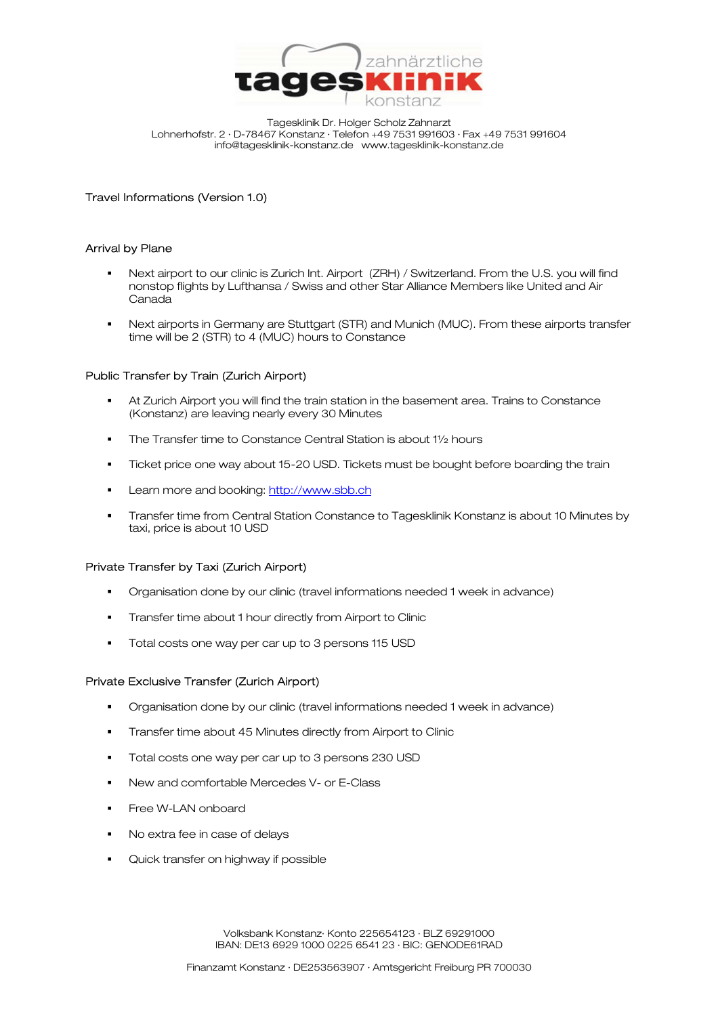

Tagesklinik Dr. Holger Scholz Zahnarzt Lohnerhofstr. 2 · D-78467 Konstanz · Telefon +49 7531 991603 · Fax +49 7531 991604 info@tagesklinik-konstanz.de www.tagesklinik-konstanz.de

# Travel Informations (Version 1.0)

# Arrival by Plane

- Next airport to our clinic is Zurich Int. Airport (ZRH) / Switzerland. From the U.S. you will find nonstop flights by Lufthansa / Swiss and other Star Alliance Members like United and Air Canada
- Next airports in Germany are Stuttgart (STR) and Munich (MUC). From these airports transfer time will be 2 (STR) to 4 (MUC) hours to Constance

## Public Transfer by Train (Zurich Airport)

- At Zurich Airport you will find the train station in the basement area. Trains to Constance (Konstanz) are leaving nearly every 30 Minutes
- The Transfer time to Constance Central Station is about 11/2 hours
- **Ticket price one way about 15-20 USD. Tickets must be bought before boarding the train**
- Learn more and booking: http://www.sbb.ch
- Transfer time from Central Station Constance to Tagesklinik Konstanz is about 10 Minutes by taxi, price is about 10 USD

## Private Transfer by Taxi (Zurich Airport)

- Organisation done by our clinic (travel informations needed 1 week in advance)
- **Transfer time about 1 hour directly from Airport to Clinic**
- Total costs one way per car up to 3 persons 115 USD

## Private Exclusive Transfer (Zurich Airport)

- Organisation done by our clinic (travel informations needed 1 week in advance)
- **Transfer time about 45 Minutes directly from Airport to Clinic**
- **Total costs one way per car up to 3 persons 230 USD**
- New and comfortable Mercedes V- or E-Class
- **Free W-LAN onboard**
- No extra fee in case of delays
- **Quick transfer on highway if possible**

Volksbank Konstanz· Konto 225654123 · BLZ 69291000 IBAN: DE13 6929 1000 0225 6541 23 · BIC: GENODE61RAD